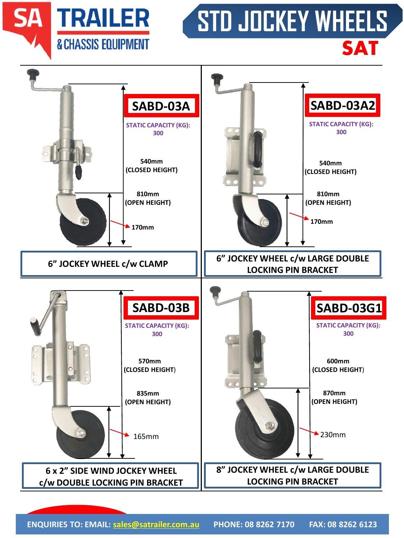**SA TRAILER & CHASSIS EQUIPMENT** 

## **STD JOCKEY WHEELS SAT**



**ENQUIRIES TO: EMAIL: [sales@satrailer.com.au](mailto:sales@satrailer.com.au) PHONE: 08 8262 7170 FAX: 08 8262 6123**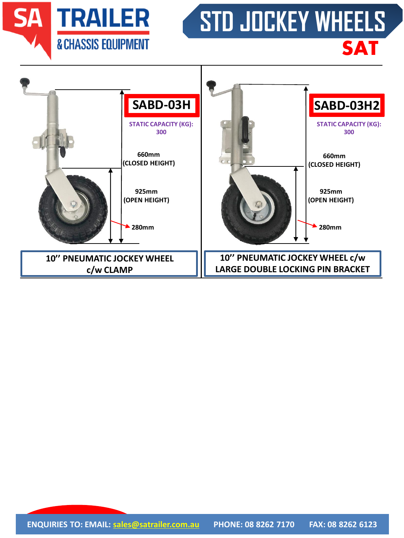**SA TRAILER & CHASSIS EQUIPMENT** 

## **STD JOCKEY WHEELS SAT**

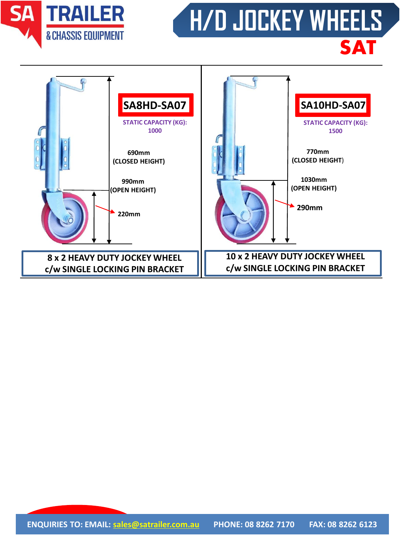

## **H/D JOCKEY WHEELS SAT**